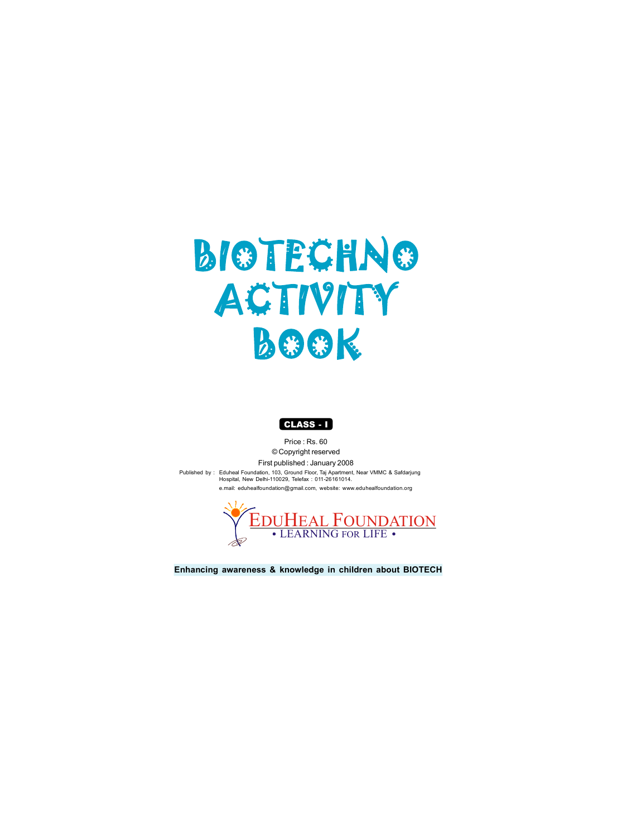# **BIOTECHNO ACTIVITY BOOK**



**Enhancing awareness & knowledge in children about BIOTECH**

Price : Rs. 60 © Copyright reserved

First published : January 2008

Published by : Eduheal Foundation, 103, Ground Floor, Taj Apartment, Near VMMC & Safdarjung Hospital, New Delhi-110029, Telefax : 011-26161014. e.mail: eduhealfoundation@gmail.com, website: www.eduhealfoundation.org

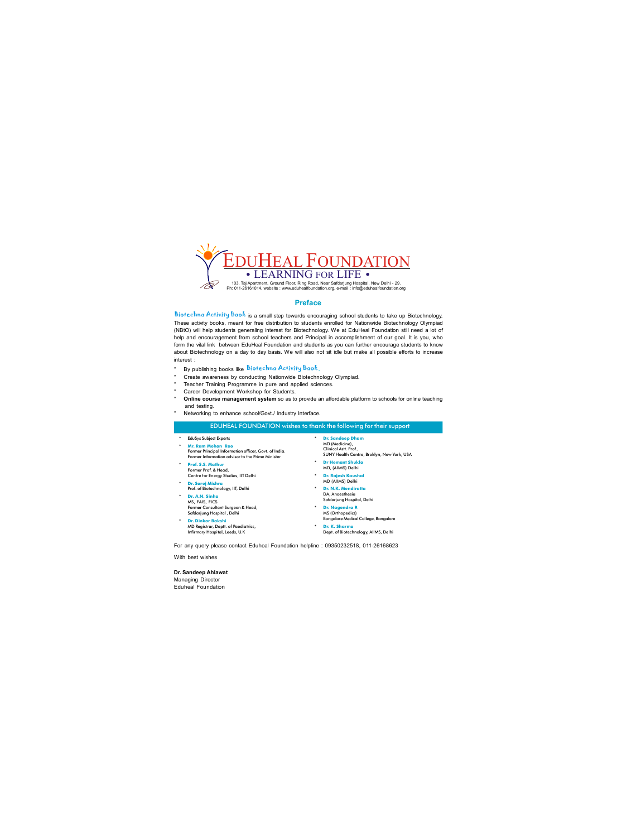

#### **Preface**

Biotechno Activity Book is a small step towards encouraging school students to take up Biotechnology. These activity books, meant for free distribution to students enrolled for Nationwide Biotechnology Olympiad (NBtO) will help students generaling interest for Biotechnology. We at EduHeal Foundation still need a lot of help and encouragement from school teachers and Principal in accomplishment of our goal. It is you, who form the vital link between EduHeal Foundation and students as you can further encourage students to know about Biotechnology on a day to day basis. We will also not sit idle but make all possible efforts to increase interest :

- $\degree$  By publishing books like **Biotechno Activity Book**.
- ° Create awareness by conducting Nationwide Biotechnology Olympiad.
- ° Teacher Training Programme in pure and applied sciences.
- ° Career Development Workshop for Students.
- ° **Online course management system** so as to provide an affordable platform to schools for online teaching and testing.
- Networking to enhance school/Govt./ Industry Interface.

#### EDUHEAL FOUNDATION wishes to thank the following for their support

- $*$  EduSys Subject Experts
- **8 Mr. Ram Mohan Rao** Former Principal Information officer, Govt. of India. Former Information advisor to the Prime Minister
- **\*** Prof. S.S. Mathur Former Prof. & Head, Centre for Energy Studies, IIT Delhi
- **\*** Dr. Saroj Mishra
- Prof. of Biotechnology, IIT, Delhi <sup>\*</sup> Dr. A.N. Sinha
- MS, FAIS, FICS Former Consultant Surgeon & Head, Safdarjung Hospital , Delhi
- **Dr. Dinkar Bakshi** MD Registrar, Deptt. of Paediatrics, Infirmary Hospital, Leeds, U.K
- **\*** Dr. Sandeep Dham MD (Medicine),<br>Clinical Astt. Prof., SUNY Health Centre, Broklyn, New York, USA
- $\blacksquare$  **Dr Hemant Shukla** MD, (AllMS) Delhi
- **\*** Dr. Rajesh Kaushal MD (AllMS) Delhi
- **Dr. N.K. Mendiratta**<br>DA, Anaesthesia Safdarjung Hospital, Delhi
- **\*** Dr. Nagendra R MS (Orthopedics) Bangalore Medical College, Bangalore **\*** Dr. K. Sharma
	- Dept. of Biotechnology, AllMS, Delhi

For any query please contact Eduheal Foundation helpline : 09350232518, 01126168623

With best wishes

**Dr. Sandeep Ahlawat** Managing Director Eduheal Foundation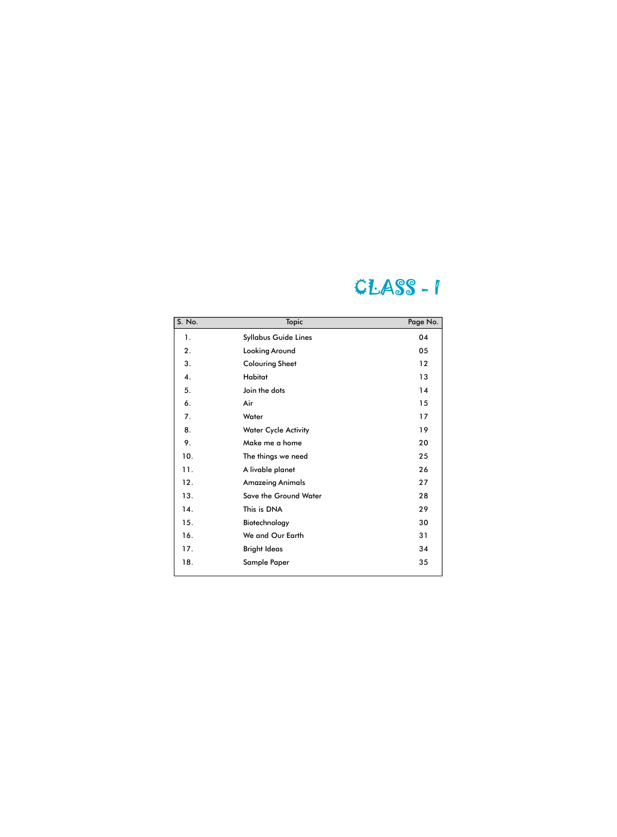## CLASS ‐ I

| S. No. | <b>Topic</b>                 | Page No. |
|--------|------------------------------|----------|
| 1.     | <b>Syllabus Guide Lines</b>  | 04       |
| 2.     | <b>Looking Around</b>        | 05       |
| 3.     | <b>Colouring Sheet</b>       | 12       |
| 4.     | <b>Habitat</b>               | 13       |
| 5.     | Join the dots                | 14       |
| 6.     | Air                          | 15       |
| 7.     | Water                        | 17       |
| 8.     | <b>Water Cycle Activity</b>  | 19       |
| 9.     | Make me a home               | 20       |
| 10.    | The things we need           | 25       |
| 11.    | A livable planet             | 26       |
| 12.    | <b>Amazeing Animals</b>      | 27       |
| 13.    | <b>Save the Ground Water</b> | 28       |
| 14.    | This is DNA                  | 29       |
| 15.    | Biotechnology                | 30       |
| 16.    | We and Our Earth             | 31       |
| 17.    | <b>Bright Ideas</b>          | 34       |
| 18.    | <b>Sample Paper</b>          | 35       |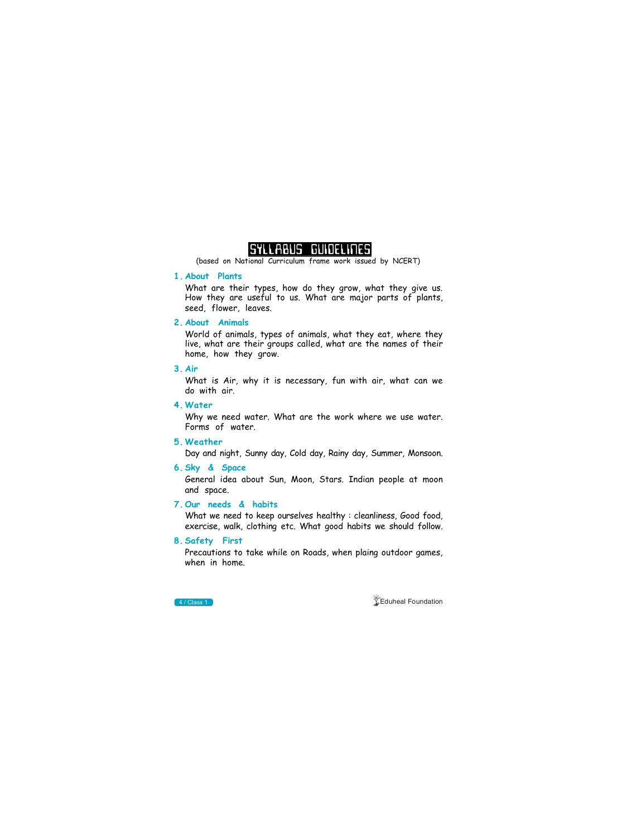

(based on National Curriculum frame work issued by NCERT)<br>

#### **1. About Plants**

What are their types, how do they grow, what they give us. How they are useful to us. What are major parts of plants, seed, flower, leaves.

#### **2. About Animals**

World of animals, types of animals, what they eat, where they live, what are their groups called, what are the names of their home, how they grow.

#### **3. Air**

What is Air, why it is necessary, fun with air, what can we do with air.

#### **4. Water**

Why we need water. What are the work where we use water. Forms of water.

#### **5. Weather**

Day and night, Sunny day, Cold day, Rainy day, Summer, Monsoon.

#### **6. Sky & Space**

General idea about Sun, Moon, Stars. Indian people at moon and space.

#### **7. Our needs & habits**

What we need to keep ourselves healthy : cleanliness, Good food, exercise, walk, clothing etc. What good habits we should follow.

#### **8. Safety First**

Precautions to take while on Roads, when plaing outdoor games, when in home.



**4 / Class 1 Eduheal Foundation**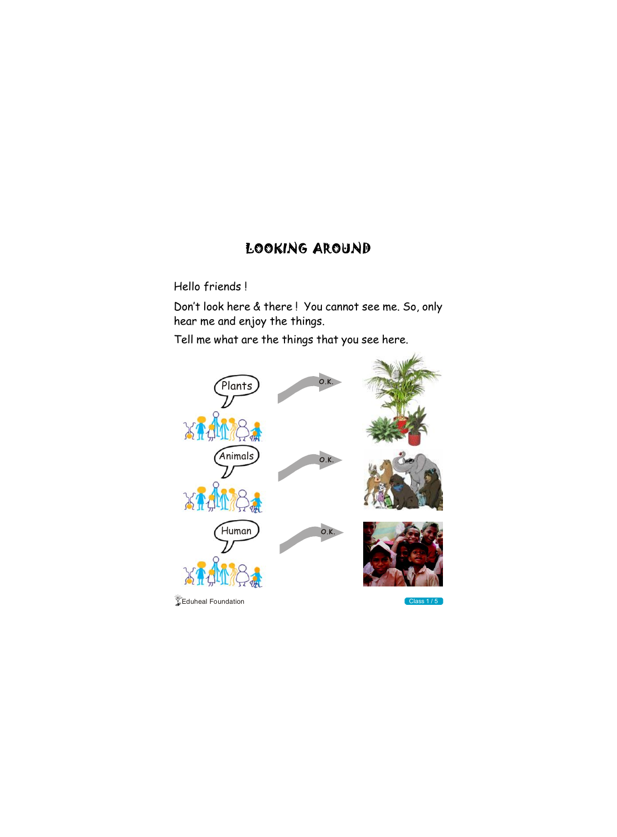## LOOKING AROUND

Hello friends !

Don't look here & there ! You cannot see me. So, only hear me and enjoy the things.

Tell me what are the things that you see here.





 $\sqrt{\frac{1}{2}}$ Eduheal Foundation



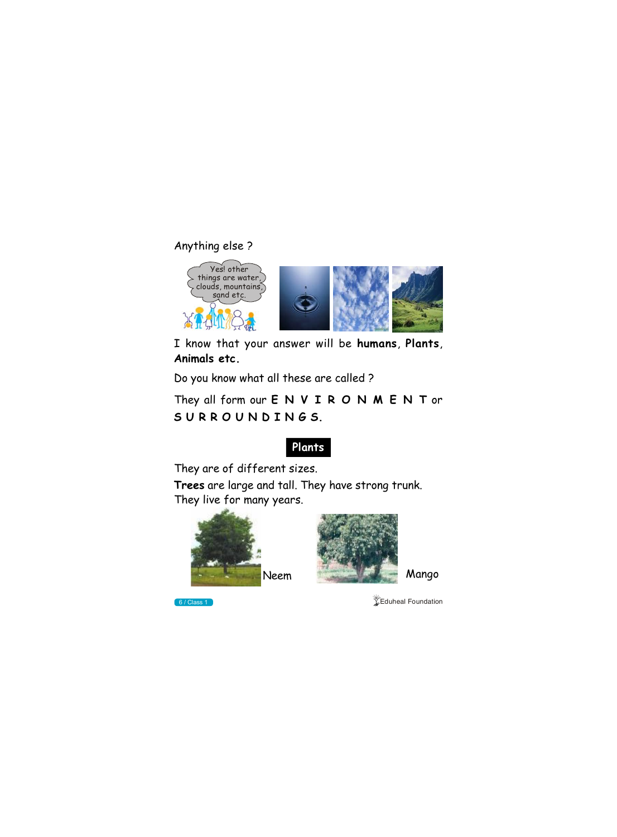## Anything else ?



I know that your answer will be **humans**, **Plants**, **Animals etc.**

Do you know what all these are called ?







They all form our **E N V I R O N M E N T** or **S U R R O U N D I N G S.**

## **Plants**

They are of different sizes.

**Trees** are large and tall. They have strong trunk. They live for many years.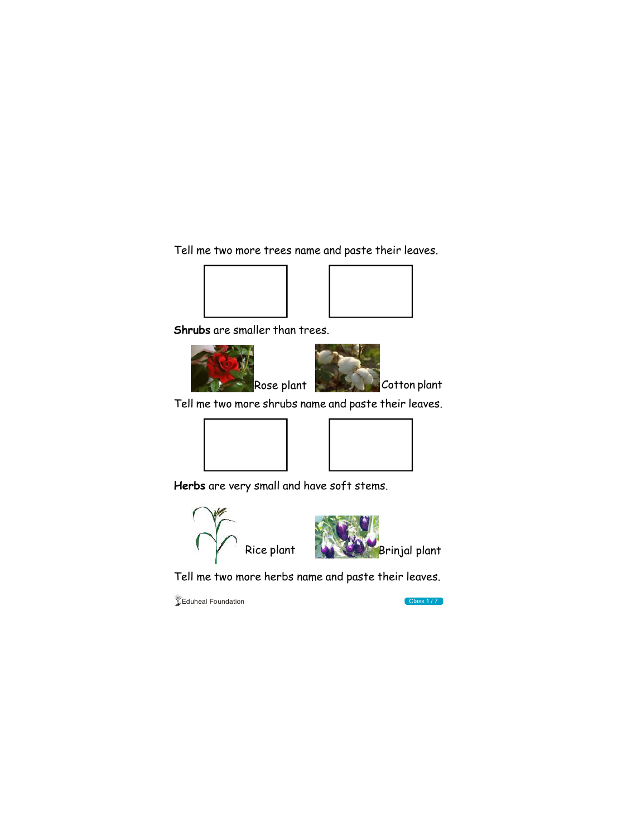Tell me two more trees name and paste their leaves.





**Shrubs** are smaller than trees.

Tell me two more shrubs name and paste their leaves.





**Herbs** are very small and have soft stems.



Tell me two more herbs name and paste their leaves.

 $\sqrt{\frac{2}{x}}$ Eduheal Foundation



Cotton plant





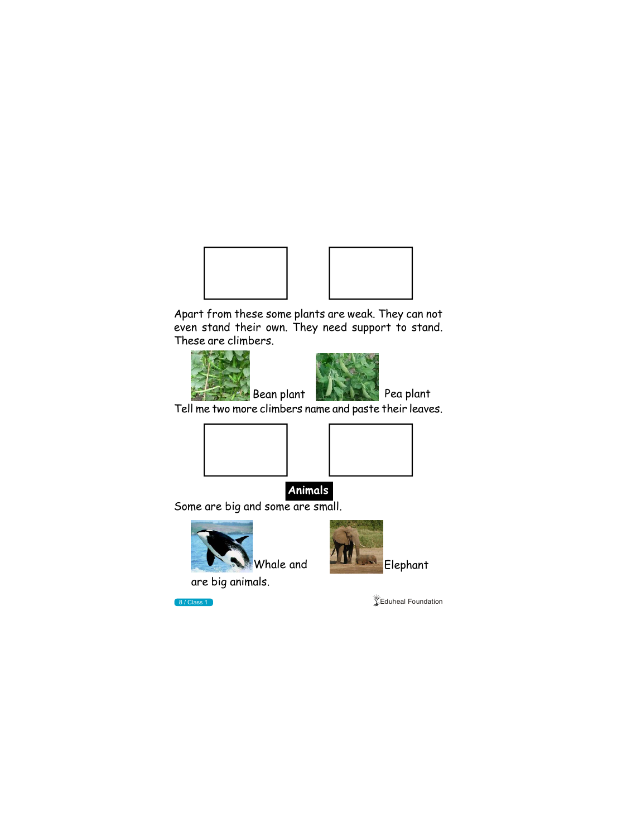



Apart from these some plants are weak. They can not even stand their own. They need support to stand. These are climbers.



Tell me two more climbers name and paste their leaves.



Some are big and some are small.



are big animals.



**8/Class 1 Eduheal Foundation** 



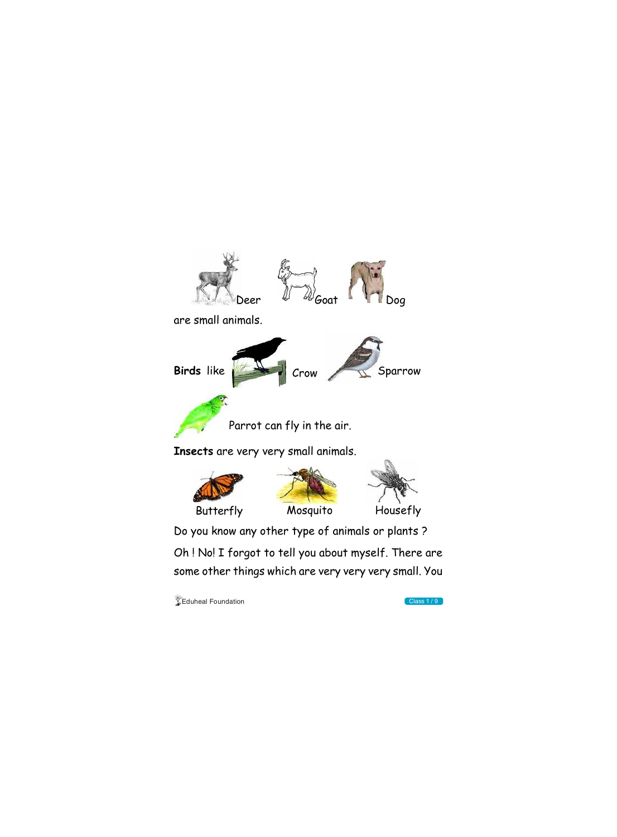Do you know any other type of animals or plants ?



Oh ! No! I forgot to tell you about myself. There are some other things which are very very very small. You

 $\sqrt{\phantom{a}}$ Eduheal Foundation Class 1 / 9

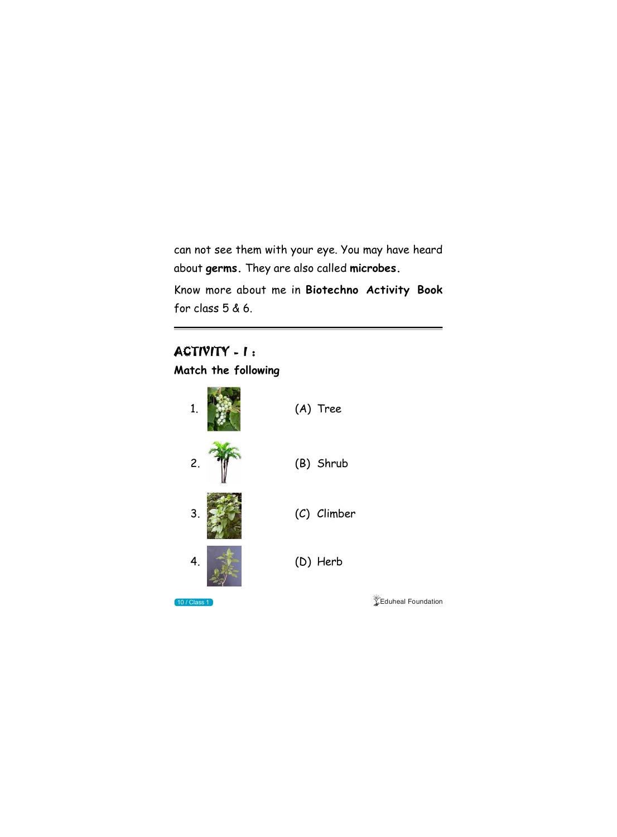can not see them with your eye. You may have heard about **germs.** They are also called **microbes.**

Know more about me in **Biotechno Activity Book** for class 5 & 6.

## ACTIVITY - I:

**Match the following**









**10 / Class 1 Class 1 Class 1 Class 1 Class 1 Class 1 Class 1 Class 1 Class 1 Class 1 Class 1 Class 1 Class 1 Class 1 Class 1 Class 1 Class 1 Class 1 Class 1 Class 1 Class 1 Class 1 Class 1 Class 1 Class 1 Class 1 Class 1**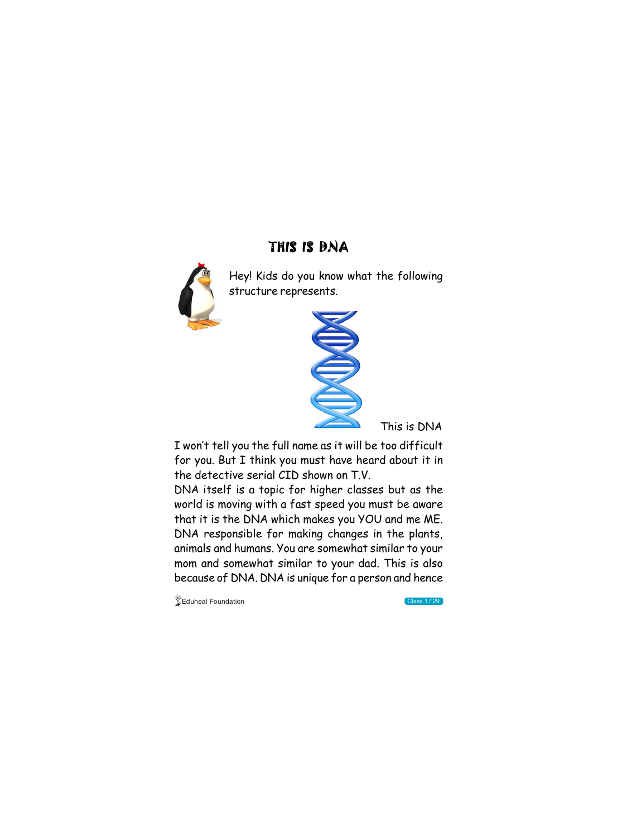## THIS IS DNA



Hey! Kids do you know what the following structure represents.



I won't tell you the full name as it will be too difficult for you. But I think you must have heard about it in the detective serial CID shown on T.V.

DNA itself is a topic for higher classes but as the world is moving with a fast speed you must be aware that it is the DNA which makes you YOU and me ME. DNA responsible for making changes in the plants, animals and humans. You are somewhat similar to your mom and somewhat similar to your dad. This is also because of DNA. DNA is unique for a person and hence

 $\sqrt{\phantom{a}}$ Eduheal Foundation Class 1 / 29

This is DNA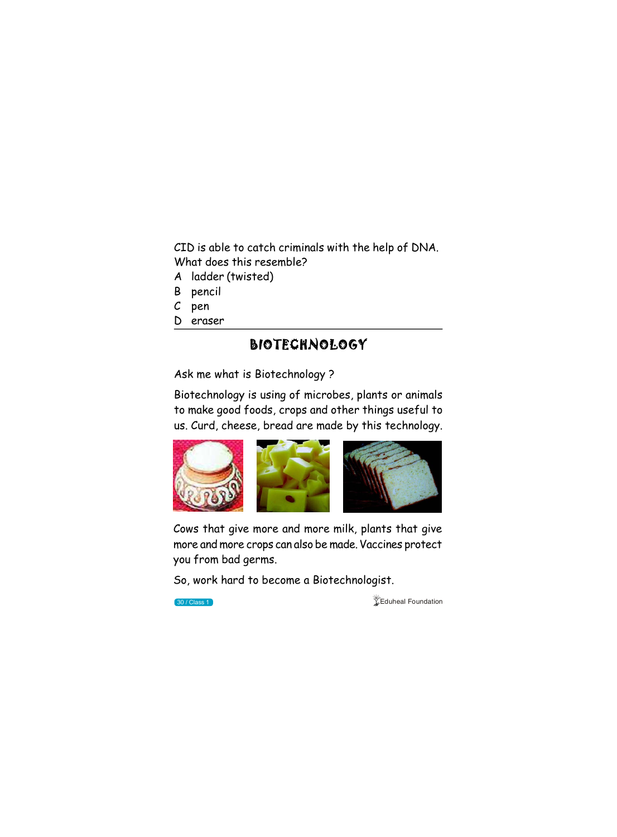## BIOTECHNOLOGY

Ask me what is Biotechnology ?

Cows that give more and more milk, plants that give more and more crops can also be made. Vaccines protect

Biotechnology is using of microbes, plants or animals to make good foods, crops and other things useful to us. Curd, cheese, bread are made by this technology.



you from bad germs.

So, work hard to become a Biotechnologist.

**30 / Class 1 Eduheal Foundation** 

CID is able to catch criminals with the help of DNA. What does this resemble?

- A ladder (twisted)
- B pencil
- C pen
- D eraser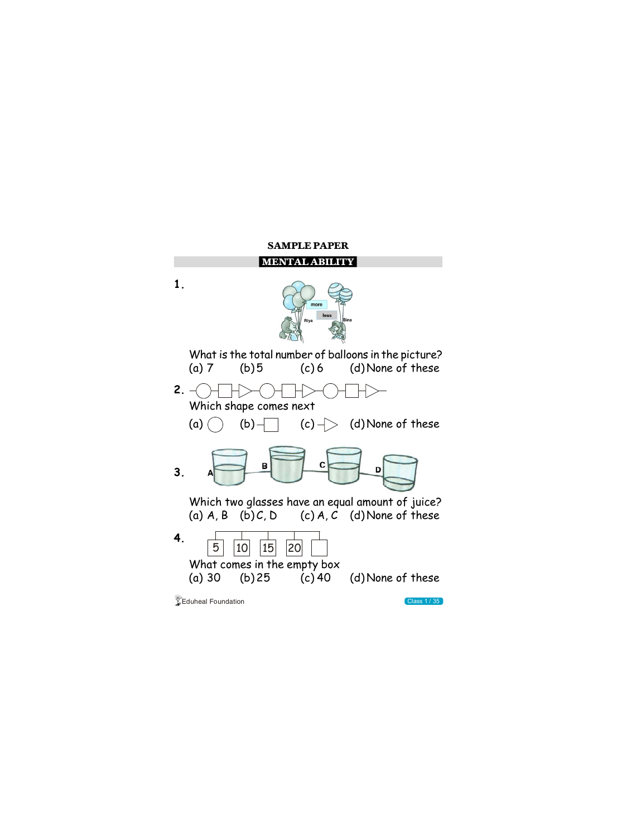



 $\sqrt[4]{\text{E}}$ Eduheal Foundation Class 1 / 35



#### **SAMPLE PAPER**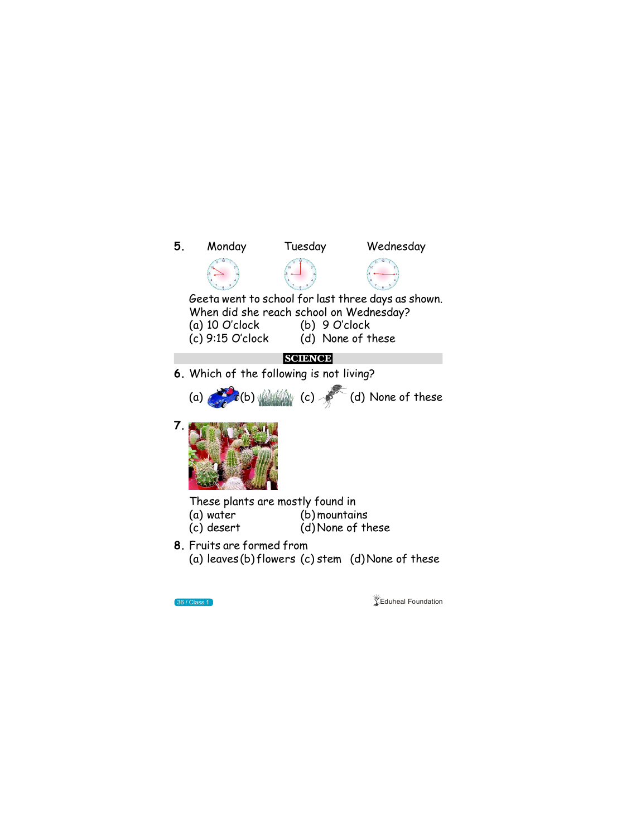

**8.** Fruits are formed from

(a) leaves (b) flowers (c) stem (d)None of these



**36 / Class 1 Definition of the Class 1 Definition of the Class 1 Definition**  $\frac{1}{2}$  Eduheal Foundation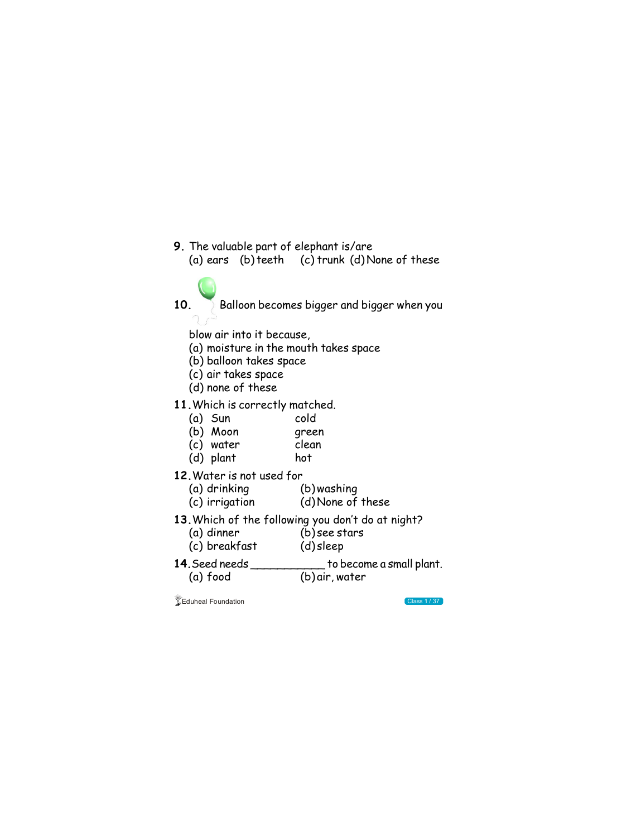- **9.** The valuable part of elephant is/are (a) ears (b) teeth (c) trunk (d) None of these
	-
- 10. Balloon becomes bigger and bigger when you

blow air into it because,

- (a) moisture in the mouth takes space
- (b) balloon takes space
- (c) air takes space
- (d) none of these
- **11.**Which is correctly matched.
	- (a) Sun cold
	- (b) Moon green
	- (c) water clean
	- (d) plant hot
- **12.**Water is not used for

| 14. Seed needs             | to become a small plant. |  |
|----------------------------|--------------------------|--|
| (a) food                   | (b) air, water           |  |
| <b>SEduheal Foundation</b> | Class 1/37               |  |

| (a) drinking   | (b) washing       |
|----------------|-------------------|
| (c) irrigation | (d) None of these |

- **13.**Which of the following you don't do at night?
	- (b) see stars (c) breakfast (d) sleep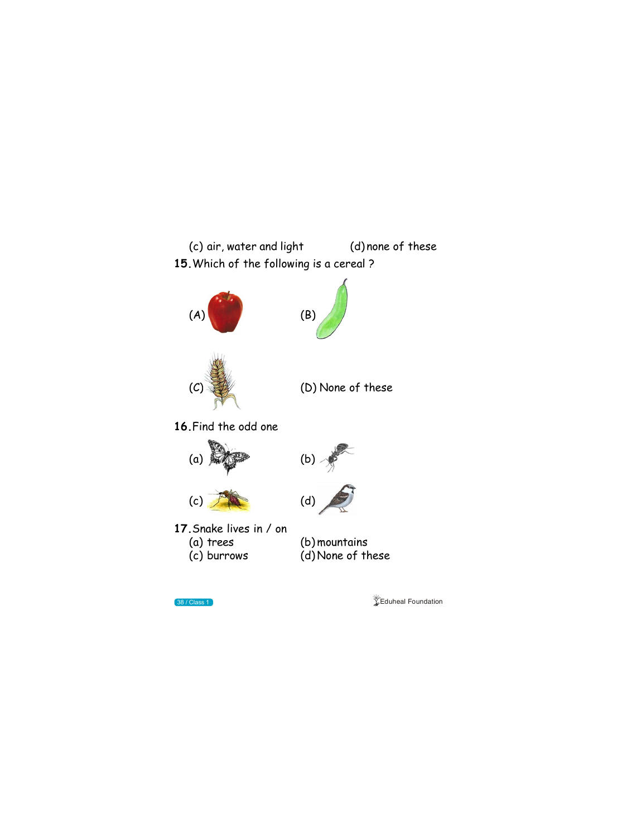

(d) None of these



**38 / Class 1 Eduheal Foundation**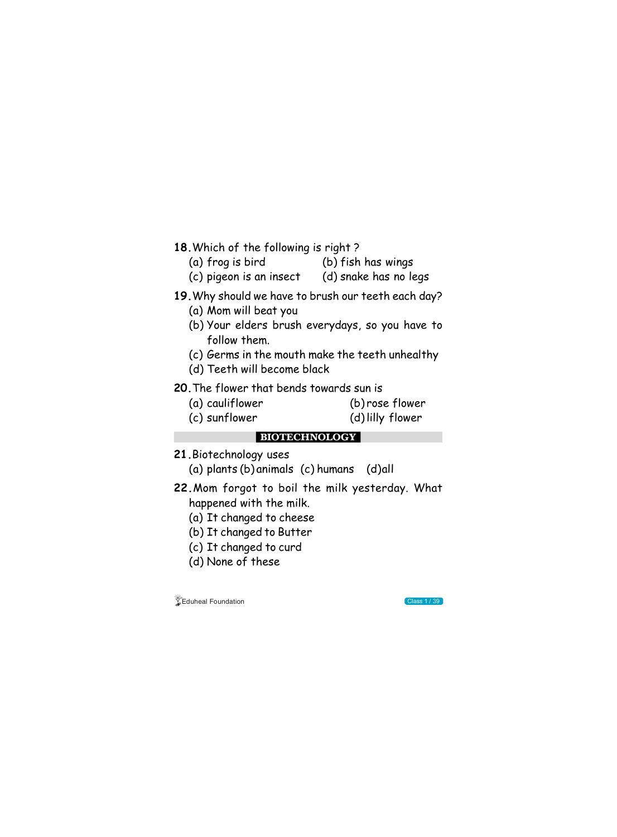



- **18.**Which of the following is right ?
	- (a) frog is bird (b) fish has wings
	- (c) pigeon is an insect (d) snake has no legs

### **19.**Why should we have to brush our teeth each day?

- (a) Mom will beat you
- (b) Your elders brush everydays, so you have to follow them.
- (c) Germs in the mouth make the teeth unhealthy
- (d) Teeth will become black
- **20.**The flower that bends towards sun is
	- (a) cauliflower (b) rose flower
	- (c) sunflower (d)lilly flower

- **21.**Biotechnology uses
	- (a) plants (b) animals (c) humans (d)all
- **22.**Mom forgot to boil the milk yesterday. What happened with the milk.
	- (a) It changed to cheese
	- (b) It changed to Butter
	- (c) It changed to curd

(d) None of these

**BIOTECHNOLOGY**